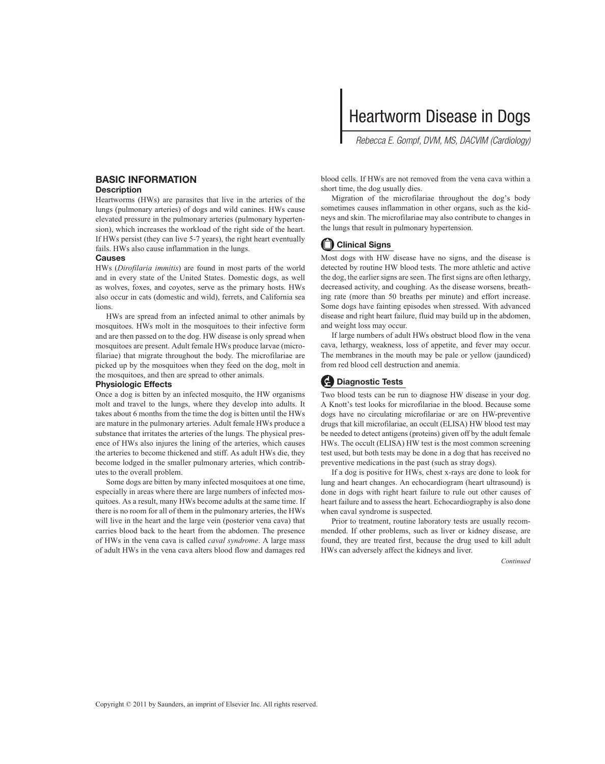# Heartworm Disease in Dogs

 *Rebecca E. Gompf, DVM, MS, DACVIM (Cardiology)* 

## **BASIC INFORMATION**

#### **Description**

 Heartworms (HWs) are parasites that live in the arteries of the lungs (pulmonary arteries) of dogs and wild canines. HWs cause elevated pressure in the pulmonary arteries (pulmonary hypertension), which increases the workload of the right side of the heart. If HWs persist (they can live 5-7 years), the right heart eventually fails. HWs also cause inflammation in the lungs.

#### **Causes**

HWs (*Dirofilaria immitis*) are found in most parts of the world and in every state of the United States. Domestic dogs, as well as wolves, foxes, and coyotes, serve as the primary hosts. HWs also occur in cats (domestic and wild), ferrets, and California sea lions.

 HWs are spread from an infected animal to other animals by mosquitoes. HWs molt in the mosquitoes to their infective form and are then passed on to the dog. HW disease is only spread when mosquitoes are present. Adult female HWs produce larvae (microfilariae) that migrate throughout the body. The microfilariae are picked up by the mosquitoes when they feed on the dog, molt in the mosquitoes, and then are spread to other animals.

#### **Physiologic Effects**

 Once a dog is bitten by an infected mosquito, the HW organisms molt and travel to the lungs, where they develop into adults. It takes about 6 months from the time the dog is bitten until the HWs are mature in the pulmonary arteries. Adult female HWs produce a substance that irritates the arteries of the lungs. The physical presence of HWs also injures the lining of the arteries, which causes the arteries to become thickened and stiff. As adult HWs die, they become lodged in the smaller pulmonary arteries, which contributes to the overall problem.

 Some dogs are bitten by many infected mosquitoes at one time, especially in areas where there are large numbers of infected mosquitoes. As a result, many HWs become adults at the same time. If there is no room for all of them in the pulmonary arteries, the HWs will live in the heart and the large vein (posterior vena cava) that carries blood back to the heart from the abdomen. The presence of HWs in the vena cava is called *caval syndrome* . A large mass of adult HWs in the vena cava alters blood flow and damages red

blood cells. If HWs are not removed from the vena cava within a short time, the dog usually dies.

 Migration of the microfilariae throughout the dog's body sometimes causes inflammation in other organs, such as the kidneys and skin. The microfilariae may also contribute to changes in the lungs that result in pulmonary hypertension.

## **Clinical Signs**

 Most dogs with HW disease have no signs, and the disease is detected by routine HW blood tests. The more athletic and active the dog, the earlier signs are seen. The first signs are often lethargy, decreased activity, and coughing. As the disease worsens, breathing rate (more than 50 breaths per minute) and effort increase. Some dogs have fainting episodes when stressed. With advanced disease and right heart failure, fluid may build up in the abdomen, and weight loss may occur.

 If large numbers of adult HWs obstruct blood flow in the vena cava, lethargy, weakness, loss of appetite, and fever may occur. The membranes in the mouth may be pale or yellow (jaundiced) from red blood cell destruction and anemia.

## **Diagnostic Tests**

 Two blood tests can be run to diagnose HW disease in your dog. A Knott's test looks for microfilariae in the blood. Because some dogs have no circulating microfilariae or are on HW-preventive drugs that kill microfilariae, an occult (ELISA) HW blood test may be needed to detect antigens (proteins) given off by the adult female HWs. The occult (ELISA) HW test is the most common screening test used, but both tests may be done in a dog that has received no preventive medications in the past (such as stray dogs).

 If a dog is positive for HWs, chest x-rays are done to look for lung and heart changes. An echocardiogram (heart ultrasound) is done in dogs with right heart failure to rule out other causes of heart failure and to assess the heart. Echocardiography is also done when caval syndrome is suspected.

 Prior to treatment, routine laboratory tests are usually recommended. If other problems, such as liver or kidney disease, are found, they are treated first, because the drug used to kill adult HWs can adversely affect the kidneys and liver.

*Continued*